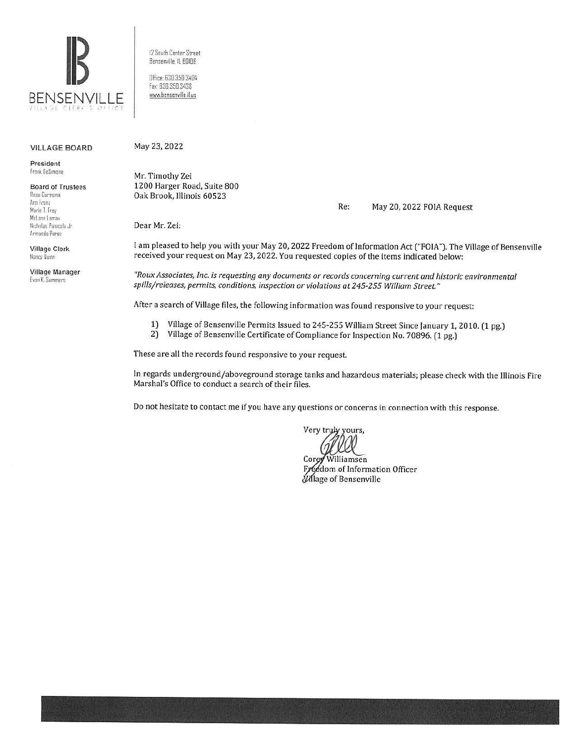

12 South Center Street 82nsenville. ll 60!06

Office: 630.350.3404 Fax: 630.350.3438 www.bensenville.il.us

#### VILLAGE BOARD

President frank OeS,mane

Board of Trustees Rosa Carmona Ana franz Marie T. Frey McLane Lomax Nicholas Panacola Jr Armando Perez

Village Clerk Nancy Quinn

Village Manager fvan K. Summers

May 23, 2022

Mr. Timothy Zei 1200 Harger Road, Suite 800 Oak Brook, Illinois 60523

Re: May 20, 2022 FOIA Request

Dear Mr. Zei:

I am pleased to help you with your May 20, 2022 Freedom of Information Act ("FOIA"). The Village of Bensenville received your request on May 23, 2022. You requested copies of the items indicated below:

*"Roux Associates, Inc. is requesting any documents or records concerning current and historic environmental spills/releases, permits, conditions, inspection or violations at 245-255 William Street"* 

After a search of Village files, the following information was found responsive to your request:

- 1) Village of Bensenville Permits Issued to 245-255 William Street Since January 1, 2010. (1 pg.)<br>2) Village of Bensenville Certificate of Compliance for Inspection No. 70896. (1 pg.)
- 2) Village of Bensenville Certificate of Compliance for Inspection No. 70896. (1 pg.)

These are all the records found responsive to your request.

In regards underground/aboveground storage tanks and hazardous materials; please check with the Illinois Fire Marshal's Office to conduct a search of their files.

Do not hesitate to contact me if you have any questions or concerns in connection with this response.

Very truly yours,

Corey Williamsen Freedom of Information Officer **Village of Bensenville**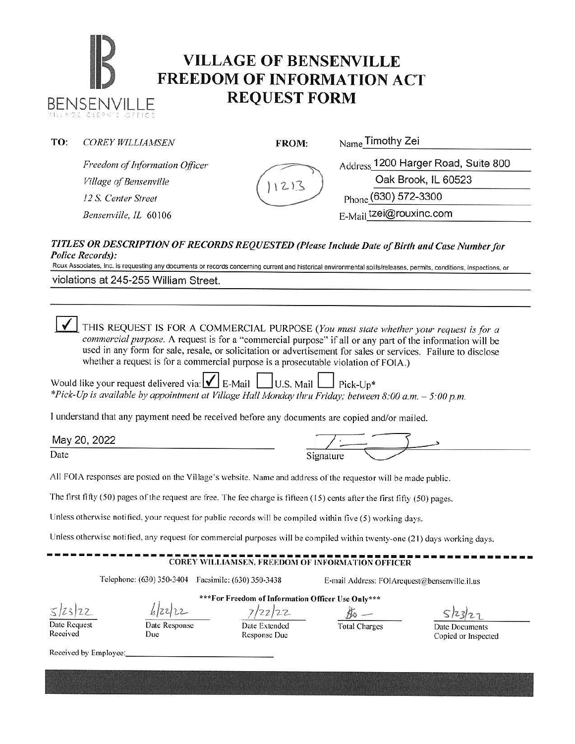## **IB VILLAGE OF BENSENVILLE**<br> **FREEDOM OF INFORMATION ACT REQUEST FORM BENSENVILLE**

| TO: | <b>COREY WILLIAMSEN</b>                      | <b>FROM:</b>            | <sub>Name</sub> Timothy Zei         |  |  |
|-----|----------------------------------------------|-------------------------|-------------------------------------|--|--|
|     | Freedom of Information Officer               |                         | Address 1200 Harger Road, Suite 800 |  |  |
|     | Village of Bensenville                       |                         | Oak Brook, IL 60523                 |  |  |
|     | 12 S. Center Street<br>Bensenville, IL 60106 |                         | Phone (630) 572-3300                |  |  |
|     |                                              | E-Mail tzei@rouxinc.com |                                     |  |  |
|     |                                              |                         |                                     |  |  |

### *TITLES OR DESCRIPTION OF RECORDS REQUESTED (Please Include Date of Birth am/ Case Number for Police Records):*

Roux Associates, Inc. is requesting any documents or records concerning current and historical environmental spills/releases, permits, conditions, inspections, or

violations at 245-255 William Street.

0 THIS REQUEST IS FOR A COMMERCIAL PURPOSE *(You must state whether your request is for a commercial pwpose.* A request is for a "commercial purpose" if all or any part of the information will be used in any form for sale, resale, or solicitation or advertisement for sales or services. Failure to disclose whether a request is for a commercial purpose is a prosecutable violation of FOIA.)

| Would like your request delivered via: $\bigvee$ E-Mail U.S. Mail Pick-Up*                               |  |
|----------------------------------------------------------------------------------------------------------|--|
| *Pick-Up is available by appointment at Village Hall Monday thru Friday; between 8:00 a.m. $-$ 5:00 p.m. |  |

I understand that any payment need be received before any documents are copied and/or mailed.

| TE INTERNATIONAL PRODUCTION AND AN INVESTIGATION OF ORDER INTO INTOXICATE MODERN INTOXICATE INTOXICATE IN ANTIQUES INTOXICATE IN A SERVICE INTOXICATE IN A SERVICE INTOXICATE IN A SERVICE INTOXICATE IN A SERVICE INTOXICATE | アンデンス ウンプアン のうさ アンジアム アール のうしょう かいこうしょういんきょう ストラン アクセンター |  |  |  |
|-------------------------------------------------------------------------------------------------------------------------------------------------------------------------------------------------------------------------------|----------------------------------------------------------|--|--|--|
| May 20, 2022                                                                                                                                                                                                                  |                                                          |  |  |  |
| Date                                                                                                                                                                                                                          | Signature                                                |  |  |  |

All FOIA responses are posted on the Village's website. Name and address of the requestor will be made public.

The first fifty (50) pages of the request are free. The fee charge is fifteen ( 15) cents after the first fifty (50) pages.

Unless otherwise notified, your request for public records will be compiled within five (5) working days.

Unless otherwise notified, any request for commercial purposes will be compiled within twenty-one (2 1) days working days.

### **COREY WILLIAMSEN, FREEDOM OF INFORMATION OFFICER**

Telephone: (630) 350-3404 Facsimile: (630) 350-3438 E-mail Address: F01Arequest@bensenvillc.il.us

 $5/23/22$ Date Request

Received

\*\*\*For Freedom of Information Officer Use Only\*\*\* *b/zz.}1-2-* 7/n/-z\_2-- })o \_:\_\_

Date Response

Due

Date Extended Response Due

Total Charges Date Documents Copied or Inspected

Received by Employee: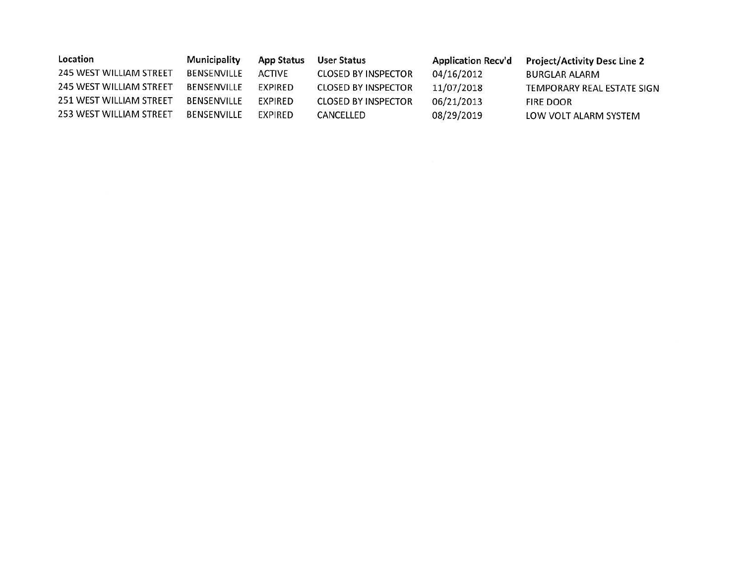| Location                       | Municipality       | <b>App Status</b> | <b>User Status</b>         | <b>Application Recv'd</b> | <b>Project/Activity Desc Line 2</b> |
|--------------------------------|--------------------|-------------------|----------------------------|---------------------------|-------------------------------------|
| <b>245 WEST WILLIAM STREET</b> | BENSENVILLE        | <b>ACTIVE</b>     | <b>CLOSED BY INSPECTOR</b> | 04/16/2012                | <b>BURGLAR ALARM</b>                |
| 245 WEST WILLIAM STREET        | <b>BENSENVILLE</b> | EXPIRED           | <b>CLOSED BY INSPECTOR</b> | 11/07/2018                | TEMPORARY REAL ESTATE SIGN          |
| 251 WEST WILLIAM STREET        | BENSENVILLE        | EXPIRED           | <b>CLOSED BY INSPECTOR</b> | 06/21/2013                | <b>FIRE DOOR</b>                    |
| 253 WEST WILLIAM STREET        | <b>BENSENVILLE</b> | EXPIRED           | CANCELLED                  | 08/29/2019                | LOW VOLT ALARM SYSTEM               |
|                                |                    |                   |                            |                           |                                     |